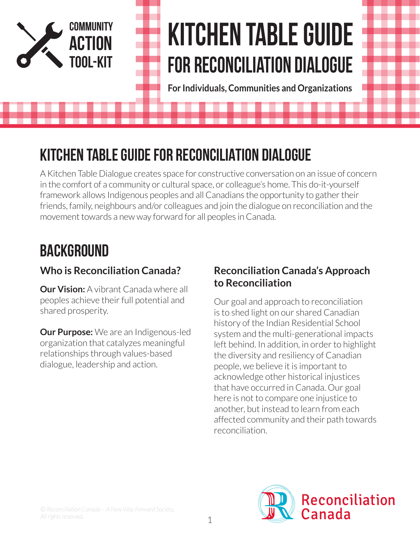

# **KITCHEN TABLE GUIDE FOR Reconciliation DIALOGUE**

**For Individuals, Communities and Organizations**

# **KITCHEN TABLE GUIDE FOR RECONCILIATION DIALOGUE**

A Kitchen Table Dialogue creates space for constructive conversation on an issue of concern in the comfort of a community or cultural space, or colleague's home. This do-it-yourself framework allows Indigenous peoples and all Canadians the opportunity to gather their friends, family, neighbours and/or colleagues and join the dialogue on reconciliation and the movement towards a new way forward for all peoples in Canada.

# **BACKGROUND**

# **Who is Reconciliation Canada?**

**Our Vision:** A vibrant Canada where all peoples achieve their full potential and shared prosperity.

**Our Purpose:** We are an Indigenous-led organization that catalyzes meaningful relationships through values-based dialogue, leadership and action.

#### **Reconciliation Canada's Approach to Reconciliation**

Our goal and approach to reconciliation is to shed light on our shared Canadian history of the Indian Residential School system and the multi-generational impacts left behind. In addition, in order to highlight the diversity and resiliency of Canadian people, we believe it is important to acknowledge other historical injustices that have occurred in Canada. Our goal here is not to compare one injustice to another, but instead to learn from each affected community and their path towards reconciliation.

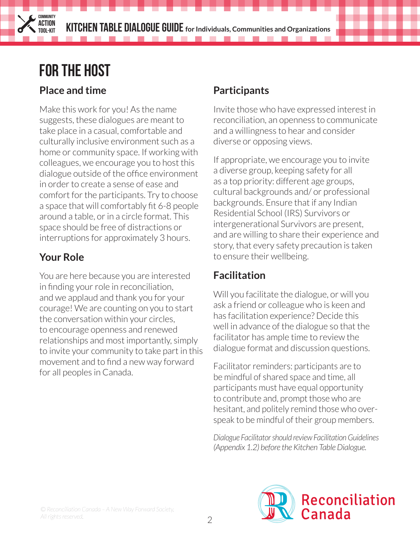. . . . . . . . . . . . . . .

# **FOR THE HOST**

**COMMUNITY ACTION**

### **Place and time**

Make this work for you! As the name suggests, these dialogues are meant to take place in a casual, comfortable and culturally inclusive environment such as a home or community space. If working with colleagues, we encourage you to host this dialogue outside of the office environment in order to create a sense of ease and comfort for the participants. Try to choose a space that will comfortably fit 6-8 people around a table, or in a circle format. This space should be free of distractions or interruptions for approximately 3 hours.

# **Your Role**

You are here because you are interested in finding your role in reconciliation, and we applaud and thank you for your courage! We are counting on you to start the conversation within your circles, to encourage openness and renewed relationships and most importantly, simply to invite your community to take part in this movement and to find a new way forward for all peoples in Canada.

### **Participants**

Invite those who have expressed interest in reconciliation, an openness to communicate and a willingness to hear and consider diverse or opposing views.

If appropriate, we encourage you to invite a diverse group, keeping safety for all as a top priority: different age groups, cultural backgrounds and/ or professional backgrounds. Ensure that if any Indian Residential School (IRS) Survivors or intergenerational Survivors are present, and are willing to share their experience and story, that every safety precaution is taken to ensure their wellbeing.

# **Facilitation**

Will you facilitate the dialogue, or will you ask a friend or colleague who is keen and has facilitation experience? Decide this well in advance of the dialogue so that the facilitator has ample time to review the dialogue format and discussion questions.

Facilitator reminders: participants are to be mindful of shared space and time, all participants must have equal opportunity to contribute and, prompt those who are hesitant, and politely remind those who overspeak to be mindful of their group members.

*Dialogue Facilitator should review Facilitation Guidelines (Appendix 1.2) before the Kitchen Table Dialogue.* 

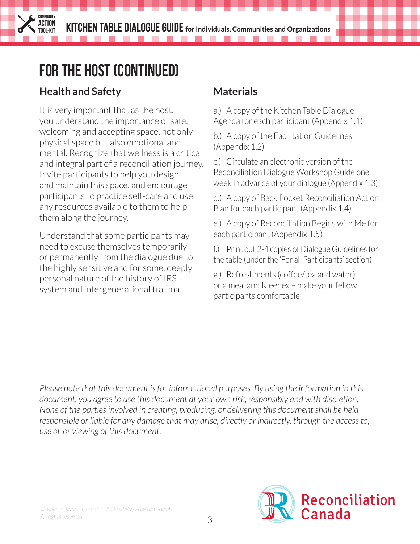. . . . . .

# **FOR THE HOST (CONTINUED)**

### **Health and Safety**

**COMMUNITY ACTION**

It is very important that as the host, you understand the importance of safe, welcoming and accepting space, not only physical space but also emotional and mental. Recognize that wellness is a critical and integral part of a reconciliation journey. Invite participants to help you design and maintain this space, and encourage participants to practice self-care and use any resources available to them to help them along the journey.

Understand that some participants may need to excuse themselves temporarily or permanently from the dialogue due to the highly sensitive and for some, deeply personal nature of the history of IRS system and intergenerational trauma.

#### **Materials**

. . . . .

a.) A copy of the Kitchen Table Dialogue Agenda for each participant (Appendix 1.1)

b.) A copy of the Facilitation Guidelines (Appendix 1.2)

c.) Circulate an electronic version of the Reconciliation Dialogue Workshop Guide one week in advance of your dialogue (Appendix 1.3)

d.) A copy of Back Pocket Reconciliation Action Plan for each participant (Appendix 1.4)

e.) A copy of Reconciliation Begins with Me for each participant (Appendix 1.5)

f.) Print out 2-4 copies of Dialogue Guidelines for the table (under the 'For all Participants' section)

g.) Refreshments (coffee/tea and water) or a meal and Kleenex – make your fellow participants comfortable

*Please note that this document is for informational purposes. By using the information in this document, you agree to use this document at your own risk, responsibly and with discretion. None of the parties involved in creating, producing, or delivering this document shall be held responsible or liable for any damage that may arise, directly or indirectly, through the access to, use of, or viewing of this document.*

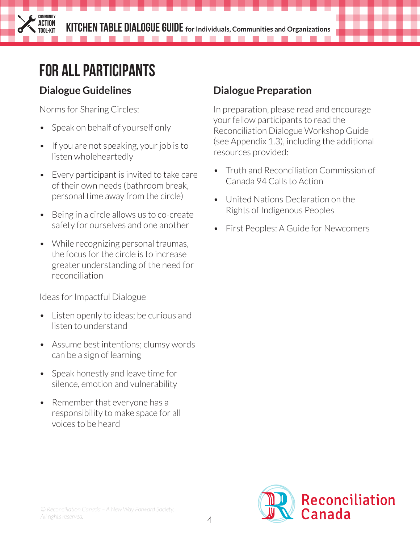----

# **FOR ALL PARTICIPANTS**

### **Dialogue Guidelines**

**COMMUNITY ACTION**

Norms for Sharing Circles:

- Speak on behalf of yourself only
- If you are not speaking, your job is to listen wholeheartedly
- Every participant is invited to take care of their own needs (bathroom break, personal time away from the circle)
- Being in a circle allows us to co-create safety for ourselves and one another
- While recognizing personal traumas, the focus for the circle is to increase greater understanding of the need for reconciliation

Ideas for Impactful Dialogue

- Listen openly to ideas; be curious and listen to understand
- Assume best intentions; clumsy words can be a sign of learning
- Speak honestly and leave time for silence, emotion and vulnerability
- Remember that everyone has a responsibility to make space for all voices to be heard

# **Dialogue Preparation**

---------

In preparation, please read and encourage your fellow participants to read the Reconciliation Dialogue Workshop Guide (see Appendix 1.3), including the additional resources provided:

- Truth and Reconciliation Commission of Canada 94 Calls to Action
- United Nations Declaration on the Rights of Indigenous Peoples
- First Peoples: A Guide for Newcomers

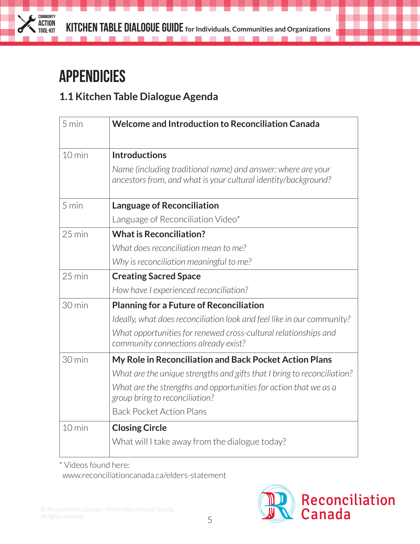

. . . . . . . . . . . . .

# **APPENDICIES**

#### **1.1 Kitchen Table Dialogue Agenda**

| $5 \text{ min}$  | Welcome and Introduction to Reconciliation Canada                                                                              |
|------------------|--------------------------------------------------------------------------------------------------------------------------------|
| $10$ min         | <b>Introductions</b>                                                                                                           |
|                  | Name (including traditional name) and answer: where are your<br>ancestors from, and what is your cultural identity/background? |
| 5 min            | <b>Language of Reconciliation</b>                                                                                              |
|                  | Language of Reconciliation Video*                                                                                              |
| $25 \text{ min}$ | <b>What is Reconciliation?</b>                                                                                                 |
|                  | What does reconciliation mean to me?                                                                                           |
|                  | Why is reconciliation meaningful to me?                                                                                        |
| $25 \text{ min}$ | <b>Creating Sacred Space</b>                                                                                                   |
|                  | How have I experienced reconciliation?                                                                                         |
| 30 min           | <b>Planning for a Future of Reconciliation</b>                                                                                 |
|                  | Ideally, what does reconciliation look and feel like in our community?                                                         |
|                  | What opportunities for renewed cross-cultural relationships and<br>community connections already exist?                        |
| 30 min           | My Role in Reconciliation and Back Pocket Action Plans                                                                         |
|                  | What are the unique strengths and gifts that I bring to reconciliation?                                                        |
|                  | What are the strengths and opportunities for action that we as a<br>group bring to reconciliation?                             |
|                  | <b>Back Pocket Action Plans</b>                                                                                                |
| $10$ min         | <b>Closing Circle</b>                                                                                                          |
|                  | What will I take away from the dialogue today?                                                                                 |

\* Videos found here:

www.reconciliationcanada.ca/elders-statement

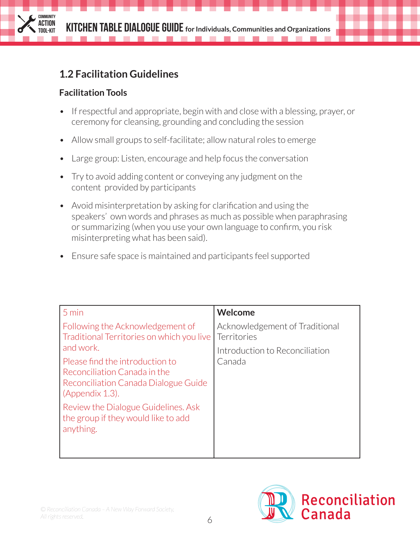--------

**The Committee of the Committee** 

### **1.2 Facilitation Guidelines**

#### **Facilitation Tools**

**COMMUNITY ACTION**

- If respectful and appropriate, begin with and close with a blessing, prayer, or ceremony for cleansing, grounding and concluding the session
- Allow small groups to self-facilitate; allow natural roles to emerge
- Large group: Listen, encourage and help focus the conversation
- Try to avoid adding content or conveying any judgment on the content provided by participants
- Avoid misinterpretation by asking for clarification and using the speakers' own words and phrases as much as possible when paraphrasing or summarizing (when you use your own language to confirm, you risk misinterpreting what has been said).
- Ensure safe space is maintained and participants feel supported

| 5 min                                                                                                                      | Welcome                                       |
|----------------------------------------------------------------------------------------------------------------------------|-----------------------------------------------|
| Following the Acknowledgement of<br>Traditional Territories on which you live                                              | Acknowledgement of Traditional<br>Territories |
| and work.                                                                                                                  | Introduction to Reconciliation                |
| Please find the introduction to<br>Reconciliation Canada in the<br>Reconciliation Canada Dialogue Guide<br>(Appendix 1.3). | Canada                                        |
| Review the Dialogue Guidelines. Ask<br>the group if they would like to add<br>anything.                                    |                                               |

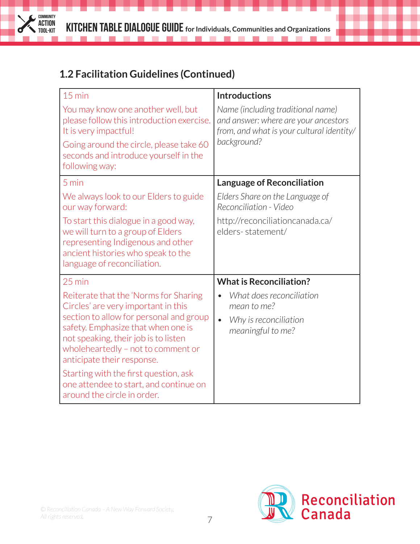. . . . . . . . . . . .

 $\mathcal{L}(\mathcal{A})$ 

# **1.2 Facilitation Guidelines (Continued)**

**COMMUNITY ACTION<br>TOOL-KIT** 

 $\mathcal{L}$ 

| $15$ min                                                                                                                                                                                  | <b>Introductions</b>                                                                                                   |  |
|-------------------------------------------------------------------------------------------------------------------------------------------------------------------------------------------|------------------------------------------------------------------------------------------------------------------------|--|
| You may know one another well, but<br>please follow this introduction exercise.<br>It is very impactful!                                                                                  | Name (including traditional name)<br>and answer: where are your ancestors<br>from, and what is your cultural identity/ |  |
| Going around the circle, please take 60<br>seconds and introduce yourself in the<br>following way:                                                                                        | background?                                                                                                            |  |
| 5 min                                                                                                                                                                                     | <b>Language of Reconciliation</b>                                                                                      |  |
| We always look to our Elders to guide<br>our way forward:                                                                                                                                 | Elders Share on the Language of<br>Reconciliation - Video                                                              |  |
| To start this dialogue in a good way,<br>we will turn to a group of Elders<br>representing Indigenous and other<br>ancient histories who speak to the<br>language of reconciliation.      | http://reconciliationcanada.ca/<br>elders-statement/                                                                   |  |
| $25 \text{ min}$                                                                                                                                                                          | <b>What is Reconciliation?</b>                                                                                         |  |
| Reiterate that the 'Norms for Sharing<br>Circles' are very important in this                                                                                                              | What does reconciliation<br>mean to me?                                                                                |  |
| section to allow for personal and group<br>safety. Emphasize that when one is<br>not speaking, their job is to listen<br>wholeheartedly - not to comment or<br>anticipate their response. | Why is reconciliation<br>$\bullet$<br>meaningful to me?                                                                |  |
| Starting with the first question, ask<br>one attendee to start, and continue on<br>around the circle in order.                                                                            |                                                                                                                        |  |

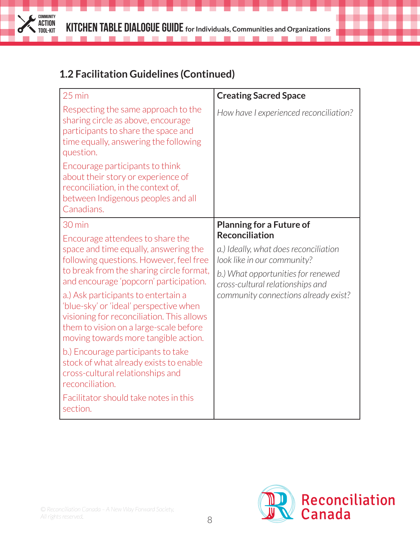. . . . . . . . . . . .

 $\mathcal{L}(\mathcal{A})$ 

# **1.2 Facilitation Guidelines (Continued)**

**COMMUNITY ACTION<br>TOOL-KIT** 

 $\mathcal{L}$ 

| $25 \text{ min}$                                                                                                                                                                                                                                                                                                                                                                                                                                                                                           | <b>Creating Sacred Space</b>                                                                                                                                                                                    |
|------------------------------------------------------------------------------------------------------------------------------------------------------------------------------------------------------------------------------------------------------------------------------------------------------------------------------------------------------------------------------------------------------------------------------------------------------------------------------------------------------------|-----------------------------------------------------------------------------------------------------------------------------------------------------------------------------------------------------------------|
| Respecting the same approach to the<br>sharing circle as above, encourage<br>participants to share the space and<br>time equally, answering the following<br>question.                                                                                                                                                                                                                                                                                                                                     | How have I experienced reconciliation?                                                                                                                                                                          |
| Encourage participants to think<br>about their story or experience of<br>reconciliation, in the context of,<br>between Indigenous peoples and all<br>Canadians.                                                                                                                                                                                                                                                                                                                                            |                                                                                                                                                                                                                 |
| 30 min                                                                                                                                                                                                                                                                                                                                                                                                                                                                                                     | <b>Planning for a Future of</b>                                                                                                                                                                                 |
| Encourage attendees to share the<br>space and time equally, answering the<br>following questions. However, feel free<br>to break from the sharing circle format,<br>and encourage 'popcorn' participation.<br>a.) Ask participants to entertain a<br>'blue-sky' or 'ideal' perspective when<br>visioning for reconciliation. This allows<br>them to vision on a large-scale before<br>moving towards more tangible action.<br>b.) Encourage participants to take<br>stock of what already exists to enable | <b>Reconciliation</b><br>a.) Ideally, what does reconciliation<br>look like in our community?<br>b.) What opportunities for renewed<br>cross-cultural relationships and<br>community connections already exist? |
| cross-cultural relationships and<br>reconciliation.                                                                                                                                                                                                                                                                                                                                                                                                                                                        |                                                                                                                                                                                                                 |
| Facilitator should take notes in this<br>section.                                                                                                                                                                                                                                                                                                                                                                                                                                                          |                                                                                                                                                                                                                 |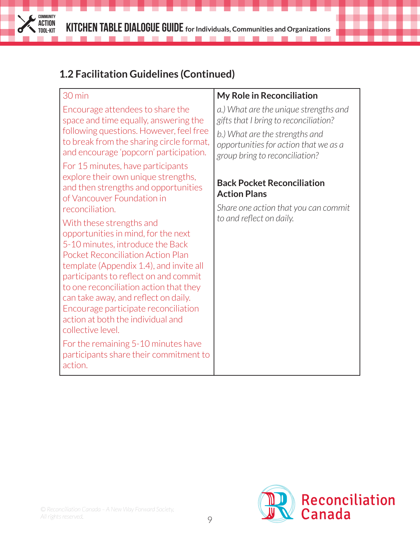. . . . . . . . . . . .

 $\sim$  10  $\pm$ 

# **1.2 Facilitation Guidelines (Continued)**

**COMMUNITY ACTION<br>TOOL-KIT** 

 $\mathcal{L}$ 

| 30 min                                                                                                                                                                                                                                                                                                                                                                                                                  | <b>My Role in Reconciliation</b>                                                                          |
|-------------------------------------------------------------------------------------------------------------------------------------------------------------------------------------------------------------------------------------------------------------------------------------------------------------------------------------------------------------------------------------------------------------------------|-----------------------------------------------------------------------------------------------------------|
| Encourage attendees to share the<br>space and time equally, answering the                                                                                                                                                                                                                                                                                                                                               | a.) What are the unique strengths and<br>gifts that I bring to reconciliation?                            |
| following questions. However, feel free<br>to break from the sharing circle format,<br>and encourage 'popcorn' participation.                                                                                                                                                                                                                                                                                           | b.) What are the strengths and<br>opportunities for action that we as a<br>group bring to reconciliation? |
| For 15 minutes, have participants<br>explore their own unique strengths,<br>and then strengths and opportunities<br>of Vancouver Foundation in                                                                                                                                                                                                                                                                          | <b>Back Pocket Reconciliation</b><br><b>Action Plans</b>                                                  |
| reconciliation.                                                                                                                                                                                                                                                                                                                                                                                                         | Share one action that you can commit                                                                      |
| With these strengths and<br>opportunities in mind, for the next<br>5-10 minutes, introduce the Back<br><b>Pocket Reconciliation Action Plan</b><br>template (Appendix 1.4), and invite all<br>participants to reflect on and commit<br>to one reconciliation action that they<br>can take away, and reflect on daily.<br>Encourage participate reconciliation<br>action at both the individual and<br>collective level. | to and reflect on daily.                                                                                  |
| For the remaining 5-10 minutes have<br>participants share their commitment to<br>action.                                                                                                                                                                                                                                                                                                                                |                                                                                                           |

*© Reconciliation Canada – A New Way Forward Society. All rights reserved.*

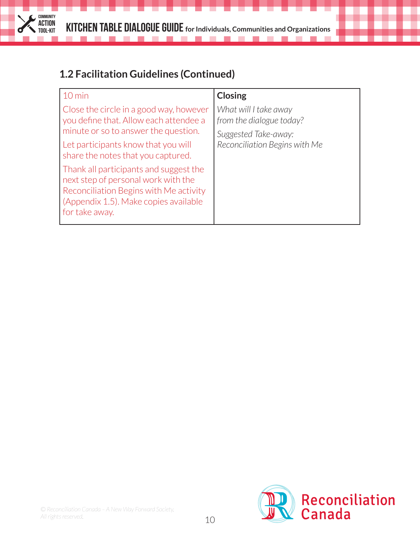----------

**Tall** 

### **1.2 Facilitation Guidelines (Continued)**

**The Control** 

**COMMUNITY ACTION<br>TOOL-KIT** 

 $\mathcal{L}$ 

| $10 \text{ min}$                                                                                                                                                                   | <b>Closing</b>                                                                                             |
|------------------------------------------------------------------------------------------------------------------------------------------------------------------------------------|------------------------------------------------------------------------------------------------------------|
| Close the circle in a good way, however<br>you define that. Allow each attendee a<br>minute or so to answer the question.                                                          | What will I take away<br>from the dialogue today?<br>Suggested Take-away:<br>Reconciliation Begins with Me |
| Let participants know that you will<br>share the notes that you captured.                                                                                                          |                                                                                                            |
| Thank all participants and suggest the<br>next step of personal work with the<br>Reconciliation Begins with Me activity<br>(Appendix 1.5). Make copies available<br>for take away. |                                                                                                            |

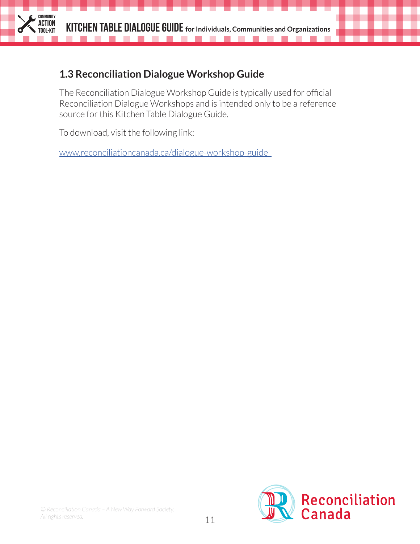#### **1.3 Reconciliation Dialogue Workshop Guide**

The Reconciliation Dialogue Workshop Guide is typically used for official Reconciliation Dialogue Workshops and is intended only to be a reference source for this Kitchen Table Dialogue Guide.

To download, visit the following link:

**COMMUNITY ACTION**

www.reconciliationcanada.ca/dialogue-workshop-guide

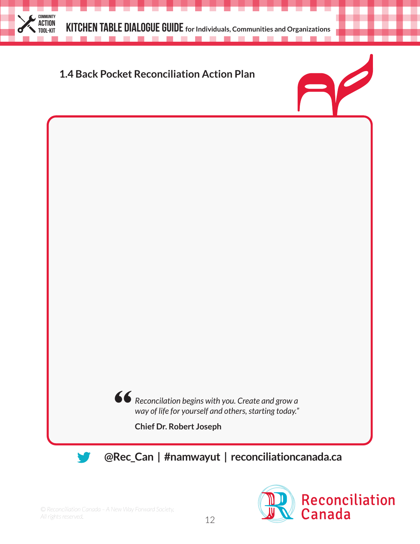